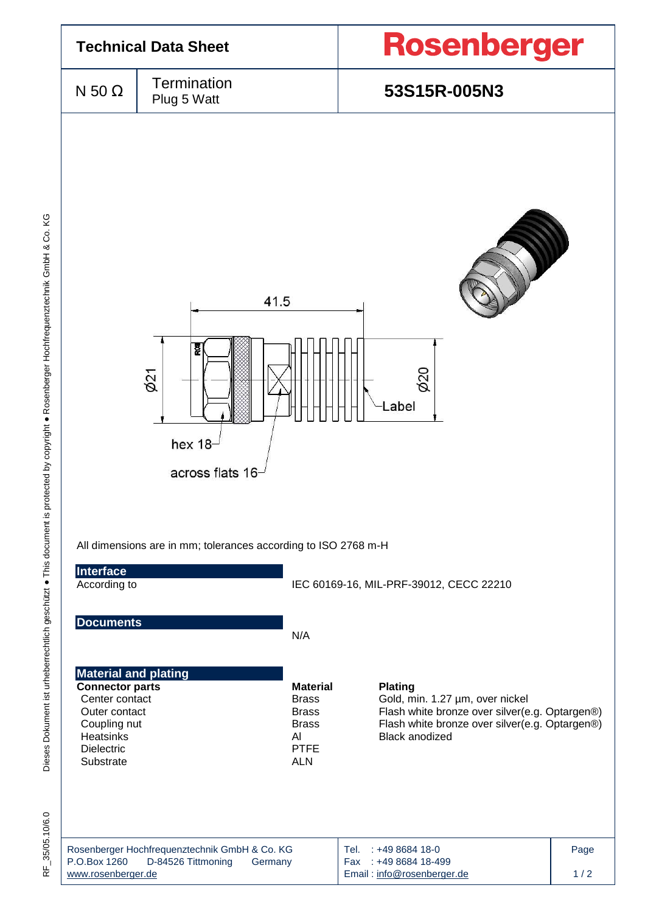

35/05.10/6.0 눈